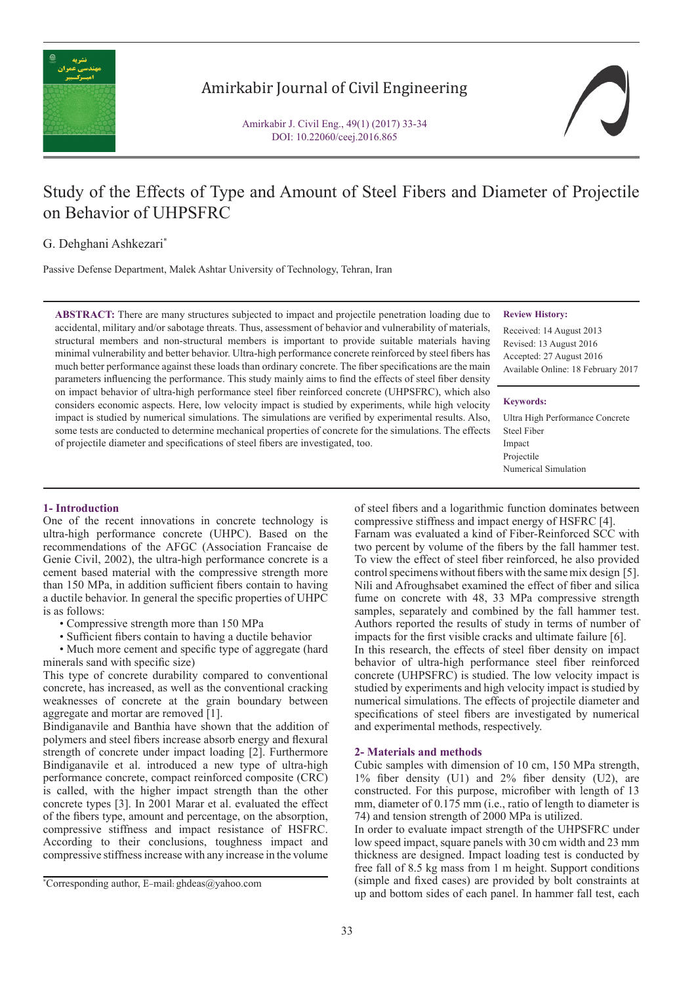

# Amirkabir Journal of Civil Engineering

Amirkabir J. Civil Eng., 49(1) (2017) 33-34 DOI: 10.22060/ceej.2016.865

# Study of the Effects of Type and Amount of Steel Fibers and Diameter of Projectile on Behavior of UHPSFRC

## G. Dehghani Ashkezari\*

Passive Defense Department, Malek Ashtar University of Technology, Tehran, Iran

**ABSTRACT:** There are many structures subjected to impact and projectile penetration loading due to accidental, military and/or sabotage threats. Thus, assessment of behavior and vulnerability of materials, structural members and non-structural members is important to provide suitable materials having minimal vulnerability and better behavior. Ultra-high performance concrete reinforced by steel fibers has much better performance against these loads than ordinary concrete. The fiber specifications are the main parameters influencing the performance. This study mainly aims to find the effects of steel fiber density on impact behavior of ultra-high performance steel fiber reinforced concrete (UHPSFRC), which also considers economic aspects. Here, low velocity impact is studied by experiments, while high velocity impact is studied by numerical simulations. The simulations are verified by experimental results. Also, some tests are conducted to determine mechanical properties of concrete for the simulations. The effects of projectile diameter and specifications of steel fibers are investigated, too.

#### **Review History:**

Received: 14 August 2013 Revised: 13 August 2016 Accepted: 27 August 2016 Available Online: 18 February 2017

#### **Keywords:**

Ultra High Performance Concrete Steel Fiber Impact Projectile Numerical Simulation

### **1- Introduction**

One of the recent innovations in concrete technology is ultra-high performance concrete (UHPC). Based on the recommendations of the AFGC (Association Francaise de Genie Civil, 2002), the ultra-high performance concrete is a cement based material with the compressive strength more than 150 MPa, in addition sufficient fibers contain to having a ductile behavior. In general the specific properties of UHPC is as follows:

- Compressive strength more than 150 MPa
- Sufficient fibers contain to having a ductile behavior
- Much more cement and specific type of aggregate (hard minerals sand with specific size)

This type of concrete durability compared to conventional concrete, has increased, as well as the conventional cracking weaknesses of concrete at the grain boundary between aggregate and mortar are removed [1].

Bindiganavile and Banthia have shown that the addition of polymers and steel fibers increase absorb energy and flexural strength of concrete under impact loading [2]. Furthermore Bindiganavile et al. introduced a new type of ultra-high performance concrete, compact reinforced composite (CRC) is called, with the higher impact strength than the other concrete types [3]. In 2001 Marar et al. evaluated the effect of the fibers type, amount and percentage, on the absorption, compressive stiffness and impact resistance of HSFRC. According to their conclusions, toughness impact and compressive stiffness increase with any increase in the volume

of steel fibers and a logarithmic function dominates between compressive stiffness and impact energy of HSFRC [4].

Farnam was evaluated a kind of Fiber-Reinforced SCC with two percent by volume of the fibers by the fall hammer test. To view the effect of steel fiber reinforced, he also provided control specimens without fibers with the same mix design [5]. Nili and Afroughsabet examined the effect of fiber and silica fume on concrete with 48, 33 MPa compressive strength samples, separately and combined by the fall hammer test. Authors reported the results of study in terms of number of impacts for the first visible cracks and ultimate failure [6]. In this research, the effects of steel fiber density on impact behavior of ultra-high performance steel fiber reinforced concrete (UHPSFRC) is studied. The low velocity impact is studied by experiments and high velocity impact is studied by numerical simulations. The effects of projectile diameter and specifications of steel fibers are investigated by numerical and experimental methods, respectively.

### **2- Materials and methods**

Cubic samples with dimension of 10 cm, 150 MPa strength, 1% fiber density (U1) and 2% fiber density (U2), are constructed. For this purpose, microfiber with length of 13 mm, diameter of 0.175 mm (i.e., ratio of length to diameter is 74) and tension strength of 2000 MPa is utilized.

In order to evaluate impact strength of the UHPSFRC under low speed impact, square panels with 30 cm width and 23 mm thickness are designed. Impact loading test is conducted by free fall of 8.5 kg mass from 1 m height. Support conditions (simple and fixed cases) are provided by bolt constraints at up and bottom sides of each panel. In hammer fall test, each

<sup>\*</sup> Corresponding author, E-mail: ghdeas@yahoo.com